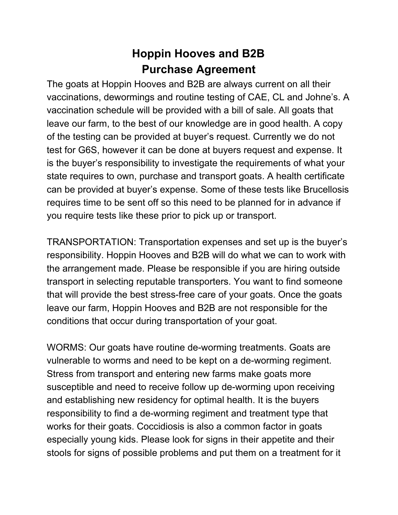## **Hoppin Hooves and B2B Purchase Agreement**

The goats at Hoppin Hooves and B2B are always current on all their vaccinations, dewormings and routine testing of CAE, CL and Johne's. A vaccination schedule will be provided with a bill of sale. All goats that leave our farm, to the best of our knowledge are in good health. A copy of the testing can be provided at buyer's request. Currently we do not test for G6S, however it can be done at buyers request and expense. It is the buyer's responsibility to investigate the requirements of what your state requires to own, purchase and transport goats. A health certificate can be provided at buyer's expense. Some of these tests like Brucellosis requires time to be sent off so this need to be planned for in advance if you require tests like these prior to pick up or transport.

TRANSPORTATION: Transportation expenses and set up is the buyer's responsibility. Hoppin Hooves and B2B will do what we can to work with the arrangement made. Please be responsible if you are hiring outside transport in selecting reputable transporters. You want to find someone that will provide the best stress-free care of your goats. Once the goats leave our farm, Hoppin Hooves and B2B are not responsible for the conditions that occur during transportation of your goat.

WORMS: Our goats have routine de-worming treatments. Goats are vulnerable to worms and need to be kept on a de-worming regiment. Stress from transport and entering new farms make goats more susceptible and need to receive follow up de-worming upon receiving and establishing new residency for optimal health. It is the buyers responsibility to find a de-worming regiment and treatment type that works for their goats. Coccidiosis is also a common factor in goats especially young kids. Please look for signs in their appetite and their stools for signs of possible problems and put them on a treatment for it